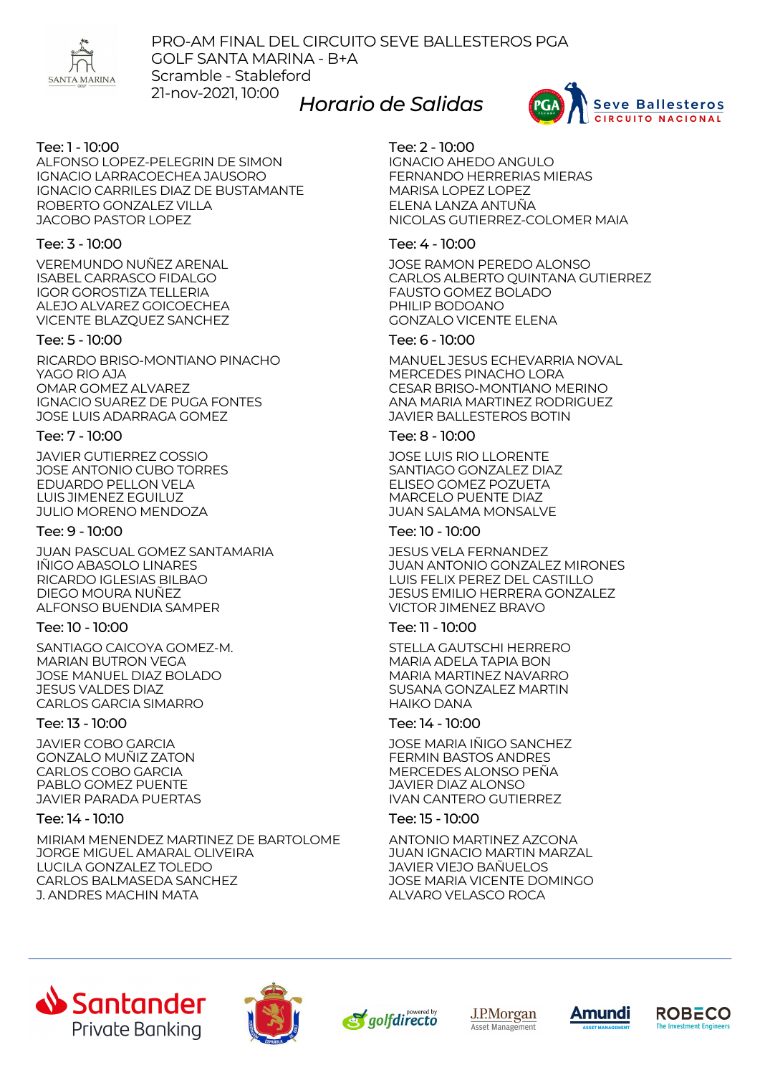

PRO-AM FINAL DEL CIRCUITO SEVE BALLESTEROS PGA GOLF SANTA MARINA - B+A Scramble - Stableford 21-nov-2021, 10:00 *Horario de Salidas*



# Tee: 1 - 10:00

ALFONSO LOPEZ-PELEGRIN DE SIMON IGNACIO LARRACOECHEA JAUSORO IGNACIO CARRILES DIAZ DE BUSTAMANTE ROBERTO GONZALEZ VILLA JACOBO PASTOR LOPEZ

# Tee: 3 - 10:00

VEREMUNDO NUÑEZ ARENAL ISABEL CARRASCO FIDALGO IGOR GOROSTIZA TELLERIA ALEJO ALVAREZ GOICOECHEA VICENTE BLAZQUEZ SANCHEZ

## Tee: 5 - 10:00

RICARDO BRISO-MONTIANO PINACHO YAGO RIO AJA OMAR GOMEZ ALVAREZ IGNACIO SUAREZ DE PUGA FONTES JOSE LUIS ADARRAGA GOMEZ

## Tee: 7 - 10:00

JAVIER GUTIERREZ COSSIO JOSE ANTONIO CUBO TORRES EDUARDO PELLON VELA LUIS JIMENEZ EGUILUZ JULIO MORENO MENDOZA

## Tee: 9 - 10:00

JUAN PASCUAL GOMEZ SANTAMARIA IÑIGO ABASOLO LINARES RICARDO IGLESIAS BILBAO DIEGO MOURA NUÑEZ ALFONSO BUENDIA SAMPER

## Tee: 10 - 10:00

SANTIAGO CAICOYA GOMEZ-M. MARIAN BUTRON VEGA JOSE MANUEL DIAZ BOLADO JESUS VALDES DIAZ CARLOS GARCIA SIMARRO

# Tee: 13 - 10:00

JAVIER COBO GARCIA GONZALO MUÑIZ ZATON CARLOS COBO GARCIA PABLO GOMEZ PUENTE JAVIER PARADA PUERTAS

## Tee: 14 - 10:10

MIRIAM MENENDEZ MARTINEZ DE BARTOLOME JORGE MIGUEL AMARAL OLIVEIRA LUCILA GONZALEZ TOLEDO CARLOS BALMASEDA SANCHEZ J. ANDRES MACHIN MATA

## Tee: 2 - 10:00

IGNACIO AHEDO ANGULO FERNANDO HERRERIAS MIERAS MARISA LOPEZ LOPEZ ELENA LANZA ANTUÑA NICOLAS GUTIERREZ-COLOMER MAIA

## Tee: 4 - 10:00

JOSE RAMON PEREDO ALONSO CARLOS ALBERTO QUINTANA GUTIERREZ FAUSTO GOMEZ BOLADO PHILIP BODOANO GONZALO VICENTE ELENA

## Tee: 6 - 10:00

MANUEL JESUS ECHEVARRIA NOVAL MERCEDES PINACHO LORA CESAR BRISO-MONTIANO MERINO ANA MARIA MARTINEZ RODRIGUEZ JAVIER BALLESTEROS BOTIN

## Tee: 8 - 10:00

JOSE LUIS RIO LLORENTE SANTIAGO GONZALEZ DIAZ ELISEO GOMEZ POZUETA MARCELO PUENTE DIAZ JUAN SALAMA MONSALVE

## Tee: 10 - 10:00

JESUS VELA FERNANDEZ JUAN ANTONIO GONZALEZ MIRONES LUIS FELIX PEREZ DEL CASTILLO JESUS EMILIO HERRERA GONZALEZ VICTOR JIMENEZ BRAVO

## Tee: 11 - 10:00

STELLA GAUTSCHI HERRERO MARIA ADELA TAPIA BON MARIA MARTINEZ NAVARRO SUSANA GONZALEZ MARTIN HAIKO DANA

# Tee: 14 - 10:00

JOSE MARIA IÑIGO SANCHEZ FERMIN BASTOS ANDRES MERCEDES ALONSO PEÑA JAVIER DIAZ ALONSO IVAN CANTERO GUTIERREZ

## Tee: 15 - 10:00

ANTONIO MARTINEZ AZCONA JUAN IGNACIO MARTIN MARZAL JAVIER VIEJO BAÑUELOS JOSE MARIA VICENTE DOMINGO ALVARO VELASCO ROCA